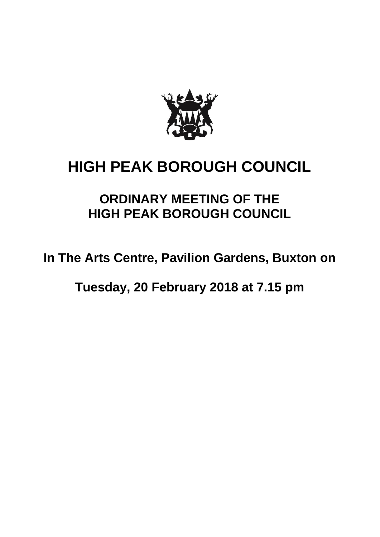

# **HIGH PEAK BOROUGH COUNCIL**

## **ORDINARY MEETING OF THE HIGH PEAK BOROUGH COUNCIL**

**In The Arts Centre, Pavilion Gardens, Buxton on** 

**Tuesday, 20 February 2018 at 7.15 pm**